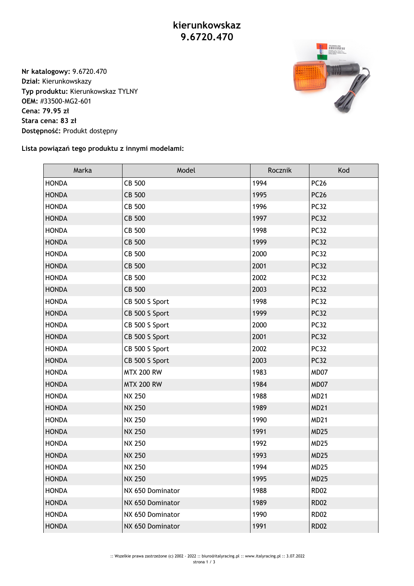## **kierunkowskaz 9.6720.470**

**Nr katalogowy:** 9.6720.470 **Dział:** Kierunkowskazy **Typ produktu:** Kierunkowskaz TYLNY **OEM:** #33500-MG2-601 **Cena: 79.95 zł Stara cena: 83 zł Dostępność:** Produkt dostępny



**Lista powiązań tego produktu z innymi modelami:**

| Marka        | Model             | Rocznik | Kod         |
|--------------|-------------------|---------|-------------|
| <b>HONDA</b> | CB 500            | 1994    | <b>PC26</b> |
| <b>HONDA</b> | CB 500            | 1995    | <b>PC26</b> |
| <b>HONDA</b> | CB 500            | 1996    | <b>PC32</b> |
| <b>HONDA</b> | CB 500            | 1997    | <b>PC32</b> |
| <b>HONDA</b> | CB 500            | 1998    | <b>PC32</b> |
| <b>HONDA</b> | CB 500            | 1999    | <b>PC32</b> |
| <b>HONDA</b> | CB 500            | 2000    | <b>PC32</b> |
| <b>HONDA</b> | CB 500            | 2001    | <b>PC32</b> |
| <b>HONDA</b> | CB 500            | 2002    | <b>PC32</b> |
| <b>HONDA</b> | CB 500            | 2003    | <b>PC32</b> |
| <b>HONDA</b> | CB 500 S Sport    | 1998    | <b>PC32</b> |
| <b>HONDA</b> | CB 500 S Sport    | 1999    | <b>PC32</b> |
| <b>HONDA</b> | CB 500 S Sport    | 2000    | <b>PC32</b> |
| <b>HONDA</b> | CB 500 S Sport    | 2001    | <b>PC32</b> |
| <b>HONDA</b> | CB 500 S Sport    | 2002    | <b>PC32</b> |
| <b>HONDA</b> | CB 500 S Sport    | 2003    | <b>PC32</b> |
| <b>HONDA</b> | <b>MTX 200 RW</b> | 1983    | MD07        |
| <b>HONDA</b> | <b>MTX 200 RW</b> | 1984    | MD07        |
| <b>HONDA</b> | <b>NX 250</b>     | 1988    | <b>MD21</b> |
| <b>HONDA</b> | <b>NX 250</b>     | 1989    | <b>MD21</b> |
| <b>HONDA</b> | <b>NX 250</b>     | 1990    | <b>MD21</b> |
| <b>HONDA</b> | <b>NX 250</b>     | 1991    | <b>MD25</b> |
| <b>HONDA</b> | <b>NX 250</b>     | 1992    | <b>MD25</b> |
| <b>HONDA</b> | <b>NX 250</b>     | 1993    | <b>MD25</b> |
| <b>HONDA</b> | <b>NX 250</b>     | 1994    | <b>MD25</b> |
| <b>HONDA</b> | <b>NX 250</b>     | 1995    | <b>MD25</b> |
| <b>HONDA</b> | NX 650 Dominator  | 1988    | <b>RD02</b> |
| <b>HONDA</b> | NX 650 Dominator  | 1989    | <b>RD02</b> |
| <b>HONDA</b> | NX 650 Dominator  | 1990    | <b>RD02</b> |
| <b>HONDA</b> | NX 650 Dominator  | 1991    | <b>RD02</b> |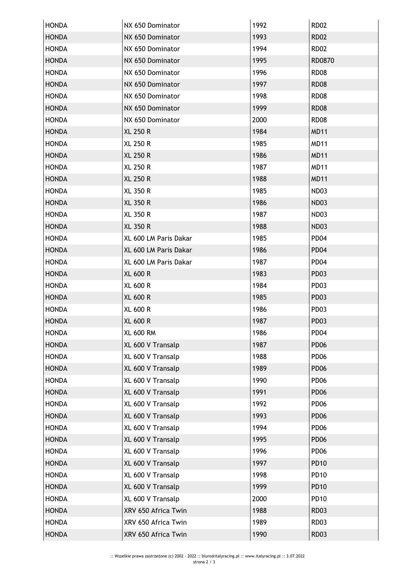| <b>HONDA</b> | NX 650 Dominator      | 1992 | <b>RD02</b>      |
|--------------|-----------------------|------|------------------|
| <b>HONDA</b> | NX 650 Dominator      | 1993 | <b>RD02</b>      |
| <b>HONDA</b> | NX 650 Dominator      | 1994 | <b>RD02</b>      |
| <b>HONDA</b> | NX 650 Dominator      | 1995 | RD0870           |
| <b>HONDA</b> | NX 650 Dominator      | 1996 | <b>RD08</b>      |
| <b>HONDA</b> | NX 650 Dominator      | 1997 | <b>RD08</b>      |
| <b>HONDA</b> | NX 650 Dominator      | 1998 | <b>RD08</b>      |
| <b>HONDA</b> | NX 650 Dominator      | 1999 | <b>RD08</b>      |
| <b>HONDA</b> | NX 650 Dominator      | 2000 | <b>RD08</b>      |
| <b>HONDA</b> | <b>XL 250 R</b>       | 1984 | <b>MD11</b>      |
| <b>HONDA</b> | <b>XL 250 R</b>       | 1985 | <b>MD11</b>      |
| <b>HONDA</b> | <b>XL 250 R</b>       | 1986 | <b>MD11</b>      |
| <b>HONDA</b> | <b>XL 250 R</b>       | 1987 | <b>MD11</b>      |
| <b>HONDA</b> | <b>XL 250 R</b>       | 1988 | <b>MD11</b>      |
| <b>HONDA</b> | <b>XL 350 R</b>       | 1985 | ND <sub>03</sub> |
| <b>HONDA</b> | <b>XL 350 R</b>       | 1986 | <b>ND03</b>      |
| <b>HONDA</b> | <b>XL 350 R</b>       | 1987 | <b>ND03</b>      |
| <b>HONDA</b> | <b>XL 350 R</b>       | 1988 | <b>ND03</b>      |
| <b>HONDA</b> | XL 600 LM Paris Dakar | 1985 | PD <sub>04</sub> |
| <b>HONDA</b> | XL 600 LM Paris Dakar | 1986 | PD <sub>04</sub> |
| <b>HONDA</b> | XL 600 LM Paris Dakar | 1987 | PD <sub>04</sub> |
| <b>HONDA</b> | <b>XL 600 R</b>       | 1983 | <b>PD03</b>      |
| <b>HONDA</b> | <b>XL 600 R</b>       | 1984 | PD <sub>03</sub> |
| <b>HONDA</b> | <b>XL 600 R</b>       | 1985 | PD <sub>03</sub> |
| <b>HONDA</b> | <b>XL 600 R</b>       | 1986 | <b>PD03</b>      |
| <b>HONDA</b> | <b>XL 600 R</b>       | 1987 | PD <sub>03</sub> |
| HONDA        | XL 600 RM             | 1986 | PD04             |
| <b>HONDA</b> | XL 600 V Transalp     | 1987 | <b>PD06</b>      |
| <b>HONDA</b> | XL 600 V Transalp     | 1988 | <b>PD06</b>      |
| <b>HONDA</b> | XL 600 V Transalp     | 1989 | <b>PD06</b>      |
| <b>HONDA</b> | XL 600 V Transalp     | 1990 | <b>PD06</b>      |
| <b>HONDA</b> | XL 600 V Transalp     | 1991 | <b>PD06</b>      |
| <b>HONDA</b> | XL 600 V Transalp     | 1992 | <b>PD06</b>      |
| <b>HONDA</b> | XL 600 V Transalp     | 1993 | <b>PD06</b>      |
| <b>HONDA</b> | XL 600 V Transalp     | 1994 | <b>PD06</b>      |
| <b>HONDA</b> | XL 600 V Transalp     | 1995 | <b>PD06</b>      |
| <b>HONDA</b> | XL 600 V Transalp     | 1996 | <b>PD06</b>      |
| <b>HONDA</b> | XL 600 V Transalp     | 1997 | <b>PD10</b>      |
| <b>HONDA</b> | XL 600 V Transalp     | 1998 | <b>PD10</b>      |
| <b>HONDA</b> | XL 600 V Transalp     | 1999 | <b>PD10</b>      |
| <b>HONDA</b> | XL 600 V Transalp     | 2000 | <b>PD10</b>      |
| <b>HONDA</b> | XRV 650 Africa Twin   | 1988 | <b>RD03</b>      |
| <b>HONDA</b> | XRV 650 Africa Twin   | 1989 | <b>RD03</b>      |
| <b>HONDA</b> | XRV 650 Africa Twin   | 1990 | <b>RD03</b>      |
|              |                       |      |                  |